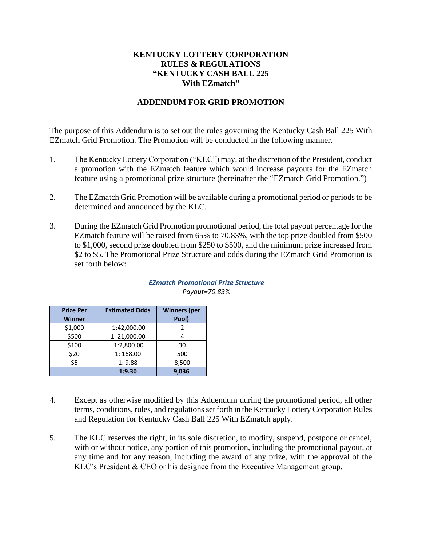## **KENTUCKY LOTTERY CORPORATION RULES & REGULATIONS "KENTUCKY CASH BALL 225 With EZmatch"**

## **ADDENDUM FOR GRID PROMOTION**

The purpose of this Addendum is to set out the rules governing the Kentucky Cash Ball 225 With EZmatch Grid Promotion. The Promotion will be conducted in the following manner.

- 1. The Kentucky Lottery Corporation ("KLC") may, at the discretion of the President, conduct a promotion with the EZmatch feature which would increase payouts for the EZmatch feature using a promotional prize structure (hereinafter the "EZmatch Grid Promotion.")
- 2. The EZmatch Grid Promotion will be available during a promotional period or periods to be determined and announced by the KLC.
- 3. During the EZmatch Grid Promotion promotional period, the total payout percentage for the EZmatch feature will be raised from 65% to 70.83%, with the top prize doubled from \$500 to \$1,000, second prize doubled from \$250 to \$500, and the minimum prize increased from \$2 to \$5. The Promotional Prize Structure and odds during the EZmatch Grid Promotion is set forth below:

| <b>Prize Per</b> | <b>Estimated Odds</b> | <b>Winners</b> (per |
|------------------|-----------------------|---------------------|
| <b>Winner</b>    |                       | Pool)               |
| \$1,000          | 1:42,000.00           |                     |
| \$500            | 1:21,000.00           |                     |
| \$100            | 1:2,800.00            | 30                  |
| \$20             | 1:168.00              | 500                 |
| \$5              | 1:9.88                | 8,500               |
|                  | 1:9.30                | 9,036               |

## *EZmatch Promotional Prize Structure Payout=70.83%*

- 4. Except as otherwise modified by this Addendum during the promotional period, all other terms, conditions, rules, and regulations set forth in the Kentucky Lottery Corporation Rules and Regulation for Kentucky Cash Ball 225 With EZmatch apply.
- 5. The KLC reserves the right, in its sole discretion, to modify, suspend, postpone or cancel, with or without notice, any portion of this promotion, including the promotional payout, at any time and for any reason, including the award of any prize, with the approval of the KLC's President & CEO or his designee from the Executive Management group.